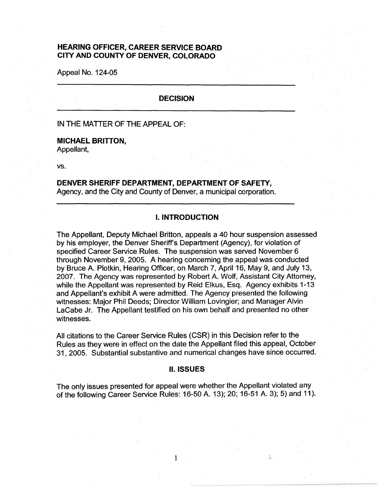# **HEARING OFFICER, CAREER SERVICE BOARD CITY AND COUNTY OF DENVER, COLORADO**

Appeal No. 124-05

### **DECISION**

## IN THE MATTER OF THE APPEAL OF:

#### **MICHAEL BRITTON,**

Appellant,

vs.

## **DENVER SHERIFF DEPARTMENT, DEPARTMENT OF SAFETY,**  Agency, and the City and County of Denver, a municipal corporation.

### I. **INTRODUCTION**

The Appellant, Deputy Michael Britton, appeals a 40 hour suspension assessed by his employer, the Denver Sheriff's Department (Agency), for violation of specified Career Service Rules. The suspension was served November 6 through November 9, 2005. A hearing concerning the appeal was conducted by Bruce A. Plotkin, Hearing Officer, on March 7, April 16, May 9, and July 13, 2007. The Agency was represented by Robert A. Wolf, Assistant City Attorney, while the Appellant was represented by Reid Elkus, Esq. Agency exhibits 1-13 and Appellant's exhibit A were admitted. The Agency presented the following witnesses: Major Phil Deeds; Director William Lovingier; and Manager Alvin LaCabe Jr. The Appellant testified on his own behalf and presented no other witnesses.

All citations to the Career Service Rules (CSR) in this Decision refer to the Rules as they were in effect on the date the Appellant filed this appeal, October 31, 2005. Substantial substantive and numerical changes have since occurred.

#### II. **ISSUES**

The only issues presented for appeal were whether the Appellant violated any of the following Career Service Rules: 16-50 A. 13); 20; 16-51 A. 3); 5) and 11 ).

1

쑵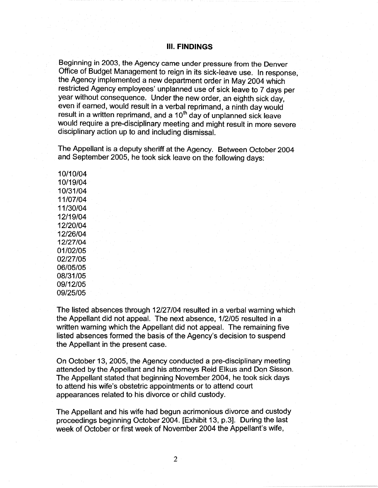## Ill. **FINDINGS**

Beginning in 2003, the Agency came under pressure from the Denver Office of Budget Management to reign in its sick-leave use. In response, the Agency implemented a new department order in May 2004 which restricted Agency employees' unplanned use of sick leave to 7 days per year without consequence. Under the new order, an eighth sick day, even if earned, would result in a verbal reprimand, a ninth day would result in a written reprimand, and a  $10<sup>th</sup>$  day of unplanned sick leave would require a pre-disciplinary meeting and might result in more severe disciplinary action up to and including dismissal.

The Appellant is a deputy sheriff at the Agency. Between October 2004 and September 2005, he took sick leave on the following days:

10/10/04 10/19/04 10/31/04 11/07/04 11/30/04 12/19/04 12/20/04 12/26/04 12/27/04 01/02/05 02/27/05 06/05/05 08/31/05 09/12/05 09/25/05

The listed absences through 12/27/04 resulted in a verbal warning which the Appellant did not appeal. The next absence, 1 /2/05 resulted in a written warning which the Appellant did not appeal. The remaining five listed absences formed the basis of the Agency's decision to suspend the Appellant in the present case.

On October 13, 2005, the Agency conducted a pre-disciplinary meeting attended by the Appellant and his attorneys Reid Elkus and Don Sisson. The Appellant stated that beginning November 2004, he took sick days to attend his wife's obstetric appointments or to attend court appearances related to his divorce or child custody.

The Appellant and his wife had begun acrimonious divorce and custody proceedings beginning October 2004. [Exhibit 13, p.3]. During the last week of October or first week of November 2004 the Appellant's wife,

2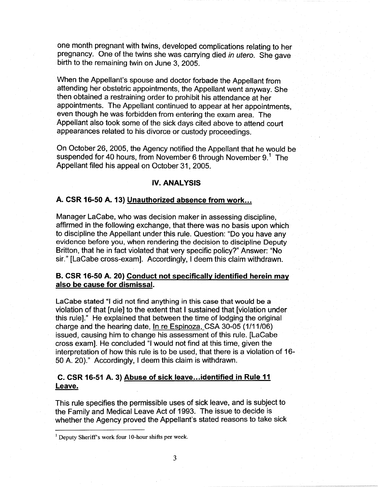one month pregnant with twins, developed complications relating to her pregnancy. One of the twins she was carrying died in utero. She gave birth to the remaining twin on June 3, 2005.

When the Appellant's spouse and doctor forbade the Appellant from attending her obstetric appointments, the Appellant went anyway. She then obtained a restraining order to prohibit his attendance at her appointments. The Appellant continued to appear at her appointments, even though he was forbidden from entering the exam area. The Appellant also took some of the sick days cited above to attend court appearances related to his divorce or custody proceedings.

On October 26, 2005, the Agency notified the Appellant that he would be suspended for 40 hours, from November 6 through November  $9<sup>1</sup>$ . The Appellant filed his appeal on October 31, 2005.

### **IV. ANALYSIS**

## **A. CSR 16-50 A. 13) Unauthorized absence from work ...**

Manager LaCabe, who was decision maker in assessing discipline, affirmed in the following exchange, that there was no basis upon which to discipline the Appellant under this rule. Question: "Do you have any evidence before you, when rendering the decision to discipline Deputy Britton, that he in fact violated that very specific policy?" Answer: "No sir." [LaCabe cross-exam]. Accordingly, I deem this claim withdrawn.

# **B. CSR 16-50 A. 20) Conduct not specifically identified herein may also be cause for dismissal.**

LaCabe stated "I did not find anything in this case that would be a violation of that [rule] to the extent that I sustained that [violation under this rule]." He explained that between the time of lodging the original charge and the hearing date, In re Espinoza,\_CSA 30-05 (1/11/06) issued, causing him to change his assessment of this rule. [LaCabe cross exam]. He concluded "I would not find at this time, given the interpretation of how this rule is to be used, that there is a violation of 16- 50 A. 20)." Accordingly, I deem this claim is withdrawn.

# **C. CSR 16-51 A. 3) Abuse of sick leave ... identified in Rule 11 Leave.**

This rule specifies the permissible uses of sick leave, and is subject to the Family and Medical Leave Act of 1993. The issue to decide is whether the Agency proved the Appellant's stated reasons to take sick

<sup>&</sup>lt;sup>1</sup> Deputy Sheriff's work four 10-hour shifts per week.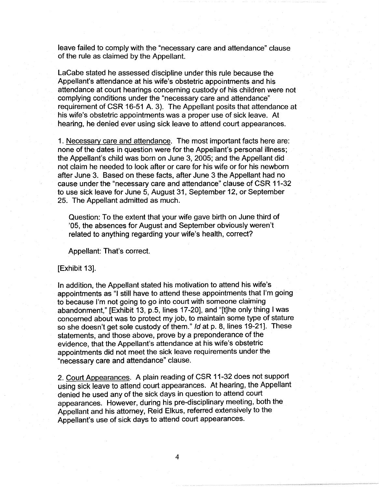leave failed to comply with the "necessary care and attendance" clause of the rule as claimed by the Appellant.

LaCabe stated he assessed discipline under this rule because the Appellant's attendance at his wife's obstetric appointments and his attendance at court hearings concerning custody of his children were not complying conditions under the "necessary care and attendance" requirement of CSR 16-51 A. 3). The Appellant posits that attendance at his wife's obstetric appointments was a proper use of sick leave. At hearing, he denied ever using sick leave to attend court appearances.

1. Necessary care and attendance. The most important facts here are: none of the dates in question were for the Appellant's personal illness; the Appellant's child was born on June 3, 2005; and the Appellant did not claim he needed to look after or care for his wife or for his newborn after June 3. Based on these facts, after June 3 the Appellant had no cause under the "necessary care and attendance" clause of CSR 11-32 to use sick leave for June 5, August 31, September 12, or September 25. The Appellant admitted as much.

Question: To the extent that your wife gave birth on June third of '05, the absences for August and September obviously weren't related to anything regarding your wife's health, correct?

Appellant: That's correct.

#### [Exhibit 13].

In addition, the Appellant stated his motivation to attend his wife's appointments as "I still have to attend these appointments that I'm going to because I'm not going to go into court with someone claiming abandonment," [Exhibit 13, p.5, lines 17-20], and "[t]he only thing I was concerned about was to protect my job, to maintain some type of stature so she doesn't get sole custody of them." Id at p. 8, lines 19-21]. These statements, and those above, prove by a preponderance of the evidence, that the Appellant's attendance at his wife's obstetric appointments did not meet the sick leave requirements under the "necessary care and attendance" clause.

2. Court Appearances. A plain reading of CSR 11-32 does not support using sick leave to attend court appearances. At hearing, the Appellant denied he used any of the sick days in question to attend court appearances. However, during his pre-disciplinary meeting, both the Appellant and his attorney, Reid Elkus, referred extensively to the Appellant's use of sick days to attend court appearances.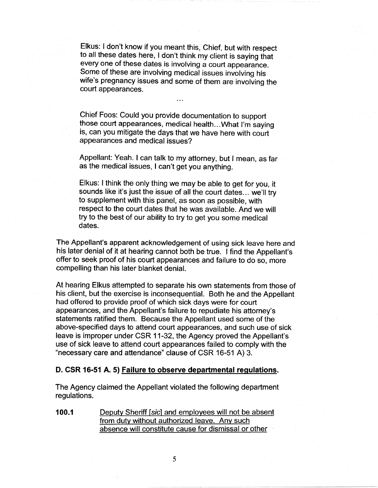Elkus: I don't know if you meant this, Chief, but with respect to all these dates here, I don't think my client is saying that every one of these dates is involving a court appearance. Some of these are involving medical issues involving his wife's pregnancy issues and some of them are involving the court appearances.

Chief Foos: Could you provide documentation to support those court appearances, medical health ... What I'm saying is, can you mitigate the days that we have here with court appearances and medical issues?

Appellant: Yeah. I can talk to my attorney, but I mean, as far as the medical issues, I can't get you anything.

Elkus: I think the only thing we may be able to get for you, it sounds like it's just the issue of all the court dates ... we'll try to supplement with this panel, as soon as possible, with respect to the court dates that he was available. And we will try to the best of our ability to try to get you some medical dates.

The Appellant's apparent acknowledgement of using sick leave here and his later denial of it at hearing cannot both be true. I find the Appellant's offer to seek proof of his court appearances and failure to do so, more compelling than his later blanket denial.

At hearing Elkus attempted to separate his own statements from those of his client, but the exercise is inconsequential. Both he and the Appellant had offered to provide proof of which sick days were for court appearances, and the Appellant's failure to repudiate his attorney's statements ratified them. Because the Appellant used some of the above-specified days to attend court appearances, and such use of sick leave is improper under CSR 11-32, the Agency proved the Appellant's use of sick leave to attend court appearances failed to comply with the "necessary care and attendance" clause of CSR 16-51 A) 3.

### **D. CSR 16-51 A. 5) Failure to observe departmental regulations.**

The Agency claimed the Appellant violated the following department regulations.

**100.1** Deputy Sheriff [sic] and employees will not be absent from duty without authorized leave. Any such absence will constitute cause for dismissal or other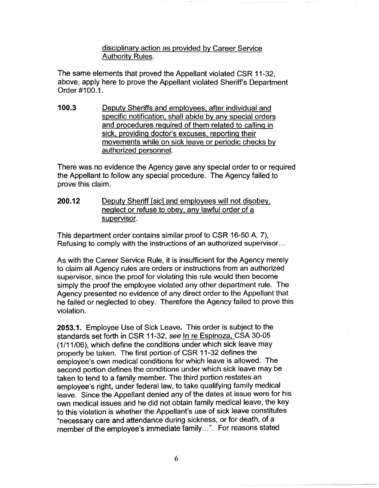disciplinary action as provided by Career Service Authority Rules.

The same elements that proved the Appellant violated CSR 11-32, above, apply here to prove the Appellant violated Sheriff's Department Order #100.1.

**100.3** Deputy Sheriffs and employees, after individual and specific notification, shall abide by any special orders and procedures required of them related to calling in sick, providing doctor's excuses, reporting their movements while on sick leave or periodic checks by authorized personnel.

There was no evidence the Agency gave any special order to or required the Appellant to follow any special procedure. The Agency failed to prove this claim.

**200.12** Deputy Sheriff (sic] and employees will not disobey, neglect or refuse to obey, any lawful order of a supervisor.

This department order contains similar proof to CSR 16-50 A. 7), Refusing to comply with the instructions of an authorized supervisor ...

As with the Career Service Rule, it is insufficient for the Agency merely to claim all Agency rules are orders or instructions from an authorized supervisor, since the proof for violating this rule would then become simply the proof the employee violated any other department rule. The Agency presented no evidence of any direct order to the Appellant that he failed or neglected to obey. Therefore the Agency failed to prove this violation.

**2053.1.** Employee Use of Sick Leave. This order is subject to the standards set forth in CSR 11-32, *see* In re Espinoza, CSA 30-05 (1/11/06), which define the conditions under which sick leave may properly be taken. The first portion of CSR 11-32 defines the employee's own medical conditions for which leave is allowed. The second portion defines the conditions under which sick leave may be taken to tend to a family member. The third portion restates an employee's right, under federal law, to take qualifying family medical leave. Since the Appellant denied any of the dates at issue were for his own medical issues and he did not obtain family medical leave, the key to this violation is whether the Appellant's use of sick leave constitutes "necessary care and attendance during sickness, or for death, of a member of the employee's immediate family ... ". For reasons stated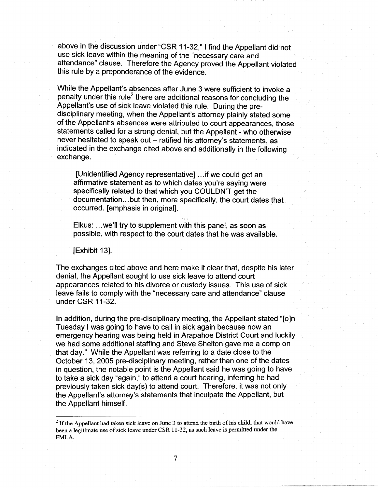above in the discussion under "CSR 11-32," I find the Appellant did not use sick leave within the meaning of the "necessary care and attendance" clause. Therefore the Agency proved the Appellant violated this rule by a preponderance of the evidence.

While the Appellant's absences after June 3 were sufficient to invoke a penalty under this rule<sup>2</sup> there are additional reasons for concluding the Appellant's use of sick leave violated this rule. During the predisciplinary meeting, when the Appellant's attorney plainly stated some of the Appellant's absences were attributed to court appearances, those statements called for a strong denial, but the Appellant - who otherwise never hesitated to speak out - ratified his attorney's statements, as indicated in the exchange cited above and additionally in the following exchange.

[Unidentified Agency representative] ... if we could get an affirmative statement as to which dates you're saying were specifically related to that which you COULDN'T get the documentation ... but then, more specifically, the court dates that occurred. [emphasis in original].

Elkus: ... we'll try to supplement with this panel, as soon as possible, with respect to the court dates that he was available.

[Exhibit 13].

The exchanges cited above and here make it clear that, despite his later denial, the Appellant sought to use sick leave to attend court appearances related to his divorce or custody issues. This use of sick leave fails to comply with the "necessary care and attendance" clause under CSR 11-32.

In addition, during the pre-disciplinary meeting, the Appellant stated "[o]n Tuesday I was going to have to call in sick again because now an emergency hearing was being held in Arapahoe District Court and luckily we had some additional staffing and Steve Shelton gave me a comp on that day." While the Appellant was referring to a date close to the October 13, 2005 pre-disciplinary meeting, rather than one of the dates in question, the notable point is the Appellant said he was going to have to take a sick day "again," to attend a court hearing, inferring he had previously taken sick day(s) to attend court. Therefore, it was not only the Appellant's attorney's statements that inculpate the Appellant, but the Appellant himself.

 $<sup>2</sup>$  If the Appellant had taken sick leave on June 3 to attend the birth of his child, that would have</sup> been a legitimate use of sick leave under CSR 11-32, as such leave is permitted under the FMLA.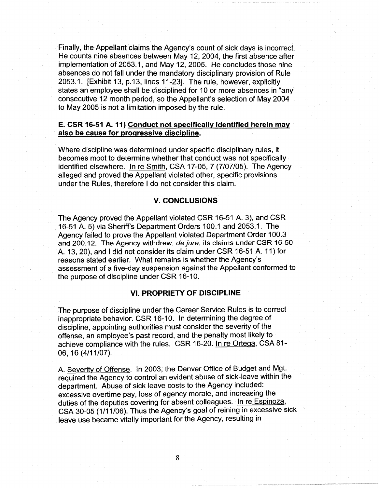Finally, the Appellant claims the Agency's count of sick days is incorrect. He counts nine absences between May 12, 2004, the first absence after implementation of 2053.1, and May 12, 2005. He concludes those nine absences do not fall under the mandatory disciplinary provision of Rule 2053.1. [Exhibit 13, p.13, lines 11-23]. The rule, however, explicitly states an employee shall be disciplined for 10 or more absences in "any" consecutive 12 month period, so the Appellant's selection of May 2004 to May 2005 is not a limitation imposed by the rule.

## **E. CSR 16-51 A. 11) Conduct not specifically identified herein may also be cause for progressive discipline.**

Where discipline was determined under specific disciplinary rules, it becomes moot to determine whether that conduct was not specifically identified elsewhere. In re Smith, CSA 17-05, 7 (7/07/05). The Agency alleged and proved the Appellant violated other, specific provisions under the Rules, therefore I do not consider this claim.

## **V. CONCLUSIONS**

The Agency proved the Appellant violated CSR 16-51 A. 3), and CSR 16-51 A. 5) via Sheriff's Department Orders 100.1 and 2053.1. The Agency failed to prove the Appellant violated Department Order 100.3 and 200.12. The Agency withdrew, de jure, its claims under CSR 16-50 A. 13, 20), and I did not consider its claim under CSR 16-51 A. 11) for reasons stated earlier. What remains is whether the Agency's assessment of a five-day suspension against the Appellant conformed to the purpose of discipline under CSR 16-10.

# **VI. PROPRIETY OF DISCIPLINE**

The purpose of discipline under the Career Service Rules is to correct inappropriate behavior. CSR 16-10. In determining the degree of discipline, appointing authorities must consider the severity of the offense, an employee's past record, and the penalty most likely to achieve compliance with the rules. CSR 16-20. In re Ortega, CSA 81- 06, 16 (4/11/07).

A. Severity of Offense. In 2003, the Denver Office of Budget and Mgt. required the Agency to control an evident abuse of sick-leave within the department. Abuse of sick leave costs to the Agency included: excessive overtime pay, loss of agency morale, and increasing the duties of the deputies covering for absent colleagues. In re Espinoza, CSA 30-05 (1/11/06). Thus the Agency's goal of reining in excessive sick leave use became vitally important for the Agency, resulting in